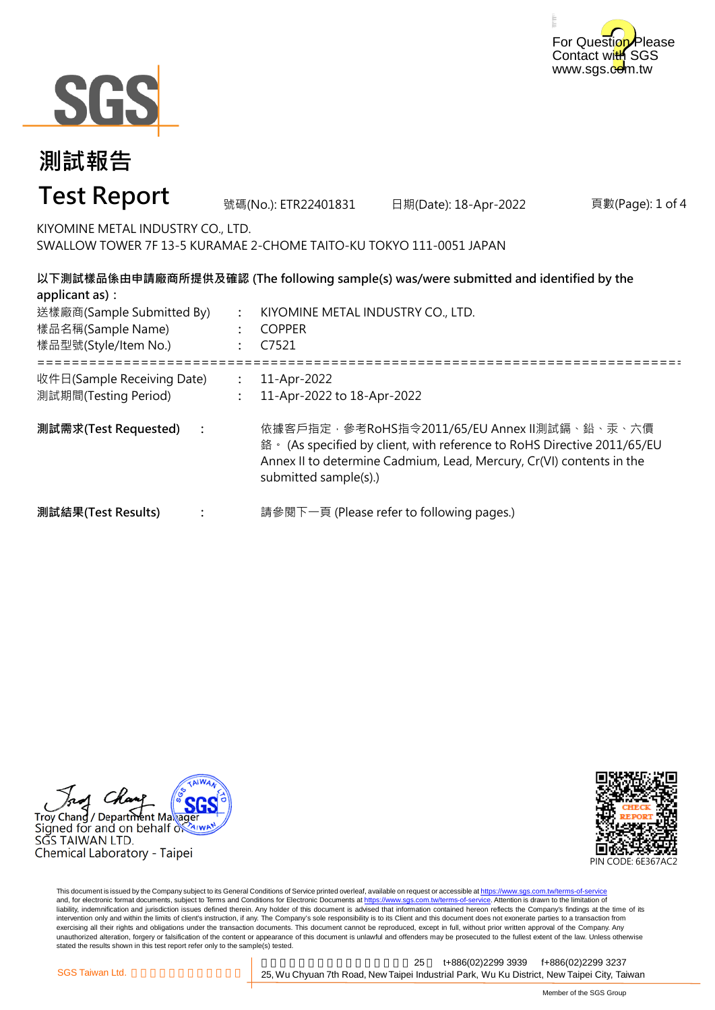



#### 頁數(Page): 1 of 4 **: : :** ===================================================================================================== **: : : 測試需求(Test Requested) :** 11-Apr-2022 11-Apr-2022 to 18-Apr-2022 依據客戶指定,參考RoHS指令2011/65/EU Annex II測試鎘、鉛、汞、六價 鉻。 (As specified by client, with reference to RoHS Directive 2011/65/EU Annex II to determine Cadmium, Lead, Mercury, Cr(VI) contents in the submitted sample(s).) 請參閱下一頁 (Please refer to following pages.) **以下測試樣品係由申請廠商所提供及確認 (The following sample(s) was/were submitted and identified by the applicant as):** KIYOMINE METAL INDUSTRY CO., LTD. COPPER C7521 **測試結果(Test Results)** 樣品名稱(Sample Name) 樣品型號(Style/Item No.) 送樣廠商(Sample Submitted By) 收件日(Sample Receiving Date) 測試期間(Testing Period) 號碼(No.): ETR22401831 日期(Date): 18-Apr-2022 **測試報告 Test Report** KIYOMINE METAL INDUSTRY CO., LTD. SWALLOW TOWER 7F 13-5 KURAMAE 2-CHOME TAITO-KU TOKYO 111-0051 JAPAN





This document is issued by the Company subject to its General Conditions of Service printed overleaf, available on request or accessible at https://www.sgs.com.tw/terms-of-service and, for electronic format documents, subject to Terms and Conditions for Electronic Documents at https://www.sgs.com.tw/terms-of-service. Attention is drawn to the limitation of liability, indemnification and jurisdiction issues defined therein. Any holder of this document is advised that information contained hereon reflects the Company's findings at the time of its intervention only and within the limits of client's instruction, if any. The Company's sole responsibility is to its Client and this document does not exonerate parties to a transaction from exercising all their rights and obligations under the transaction documents. This document cannot be reproduced, except in full, without prior written approval of the Company. Any<br>unauthorized alteration, forgery or falsif stated the results shown in this test report refer only to the sample(s) tested.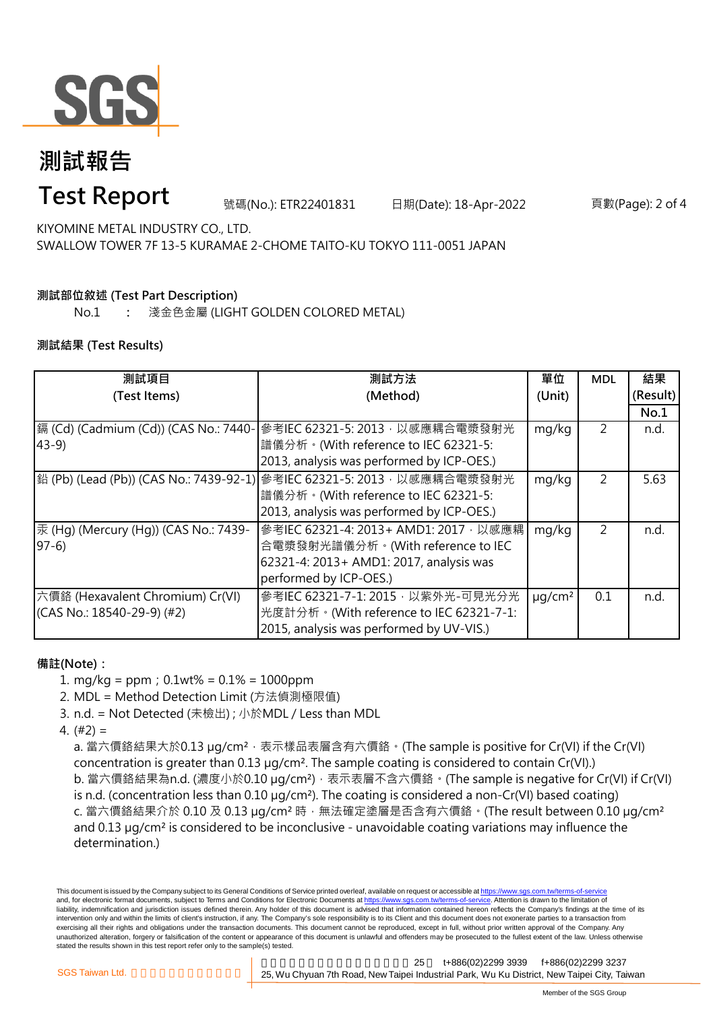

# **測試報告**

### **Test Report**

號碼(No.): ETR22401831 日期(Date): 18-Apr-2022 頁數(Page): 2 of 4

KIYOMINE METAL INDUSTRY CO., LTD. SWALLOW TOWER 7F 13-5 KURAMAE 2-CHOME TAITO-KU TOKYO 111-0051 JAPAN

### **測試部位敘述 (Test Part Description)**

No.1 **:** 淺金色金屬 (LIGHT GOLDEN COLORED METAL)

#### **測試結果 (Test Results)**

| 測試項目                                  | 測試方法                                                                           | 單位                      | <b>MDL</b>     | 結果       |
|---------------------------------------|--------------------------------------------------------------------------------|-------------------------|----------------|----------|
| (Test Items)                          | (Method)                                                                       | (Unit)                  |                | (Result) |
|                                       |                                                                                |                         |                | No.1     |
| 鎘 (Cd) (Cadmium (Cd)) (CAS No.: 7440- | 參考IEC 62321-5: 2013, 以感應耦合電漿發射光                                                | mg/kg                   | 2              | n.d.     |
| $43-9$                                | 譜儀分析。(With reference to IEC 62321-5:                                           |                         |                |          |
|                                       | 2013, analysis was performed by ICP-OES.)                                      |                         |                |          |
|                                       | <b>鉛 (Pb) (Lead (Pb)) (CAS No.: 7439-92-1)</b> 参考IEC 62321-5: 2013, 以感應耦合電漿發射光 | mg/kg                   | $\overline{2}$ | 5.63     |
|                                       | 譜儀分析。(With reference to IEC 62321-5:                                           |                         |                |          |
|                                       | 2013, analysis was performed by ICP-OES.)                                      |                         |                |          |
| 汞 (Hg) (Mercury (Hg)) (CAS No.: 7439- | 參考IEC 62321-4: 2013+ AMD1: 2017, 以感應耦                                          | mg/kg                   | 2              | n.d.     |
| $97-6$                                | 合電漿發射光譜儀分析。(With reference to IEC                                              |                         |                |          |
|                                       | 62321-4: 2013+ AMD1: 2017, analysis was                                        |                         |                |          |
|                                       | performed by ICP-OES.)                                                         |                         |                |          |
| 六價鉻 (Hexavalent Chromium) Cr(VI)      | 參考IEC 62321-7-1: 2015, 以紫外光-可見光分光                                              | $\mu$ g/cm <sup>2</sup> | 0.1            | n.d.     |
| $(CAS No.: 18540-29-9)$ (#2)          | 光度計分析。(With reference to IEC 62321-7-1:                                        |                         |                |          |
|                                       | 2015, analysis was performed by UV-VIS.)                                       |                         |                |          |

#### **備註(Note):**

- 1. mg/kg = ppm;0.1wt% = 0.1% = 1000ppm
- 2. MDL = Method Detection Limit (方法偵測極限值)
- 3. n.d. = Not Detected (未檢出) ; 小於MDL / Less than MDL
- 4. (#2) =

a. 當六價鉻結果大於0.13 μg/cm<sup>2</sup>,表示樣品表層含有六價鉻。(The sample is positive for Cr(VI) if the Cr(VI) concentration is greater than 0.13 µg/cm². The sample coating is considered to contain Cr(VI).) b. 當六價鉻結果為n.d. (濃度小於0.10 μg/cm<sup>2</sup>), 表示表層不含六價鉻。(The sample is negative for Cr(VI) if Cr(VI) is n.d. (concentration less than 0.10 µg/cm²). The coating is considered a non-Cr(VI) based coating) c. 當六價鉻結果介於 0.10 及 0.13 µg/cm<sup>2</sup> 時, 無法確定塗層是否含有六價鉻。(The result between 0.10 µg/cm<sup>2</sup> and 0.13 µg/cm² is considered to be inconclusive - unavoidable coating variations may influence the determination.)

This document is issued by the Company subject to its General Conditions of Service printed overleaf, available on request or accessible at https://www.sgs.com.tw/terms-of-service and, for electronic format documents, subject to Terms and Conditions for Electronic Documents at https://www.sgs.com.tw/terms-of-service. Attention is drawn to the limitation of liability, indemnification and jurisdiction issues defined therein. Any holder of this document is advised that information contained hereon reflects the Company's findings at the time of its intervention only and within the limits of client's instruction, if any. The Company's sole responsibility is to its Client and this document does not exonerate parties to a transaction from exercising all their rights and obligations under the transaction documents. This document cannot be reproduced, except in full, without prior written approval of the Company. Any unauthorized alteration, forgery or falsification of the content or appearance of this document is unlawful and offenders may be prosecuted to the fullest extent of the law. Unless otherwise stated the results shown in this test report refer only to the sample(s) tested.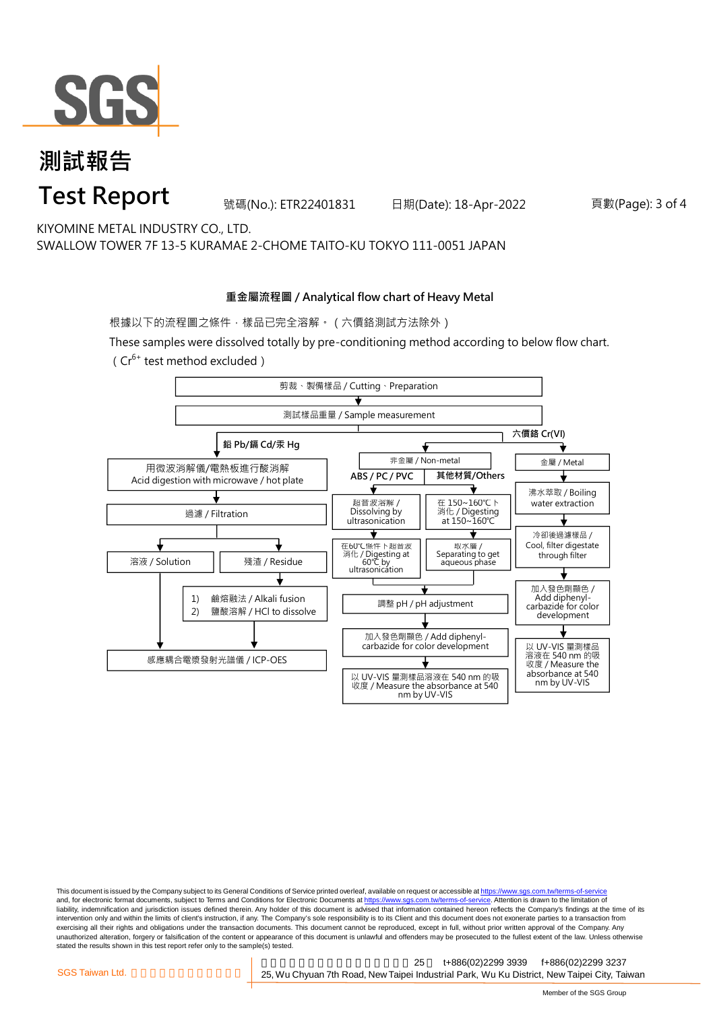

### **測試報告 Test Report**

號碼(No.): ETR22401831 日期(Date): 18-Apr-2022 頁數(Page): 3 of 4

KIYOMINE METAL INDUSTRY CO., LTD. SWALLOW TOWER 7F 13-5 KURAMAE 2-CHOME TAITO-KU TOKYO 111-0051 JAPAN

#### **重金屬流程圖 / Analytical flow chart of Heavy Metal**

根據以下的流程圖之條件,樣品已完全溶解。(六價鉻測試方法除外)

These samples were dissolved totally by pre-conditioning method according to below flow chart. ( $Cr^{6+}$  test method excluded)



This document is issued by the Company subject to its General Conditions of Service printed overleaf, available on request or accessible at https://www.sgs.com.tw/terms-of-service and, for electronic format documents, subject to Terms and Conditions for Electronic Documents at https://www.sgs.com.tw/terms-of-service. Attention is drawn to the limitation of liability, indemnification and jurisdiction issues defined therein. Any holder of this document is advised that information contained hereon reflects the Company's findings at the time of its intervention only and within the limits of client's instruction, if any. The Company's sole responsibility is to its Client and this document does not exonerate parties to a transaction from exercising all their rights and obligations under the transaction documents. This document cannot be reproduced, except in full, without prior written approval of the Company. Any<br>unauthorized alteration, forgery or falsif stated the results shown in this test report refer only to the sample(s) tested.